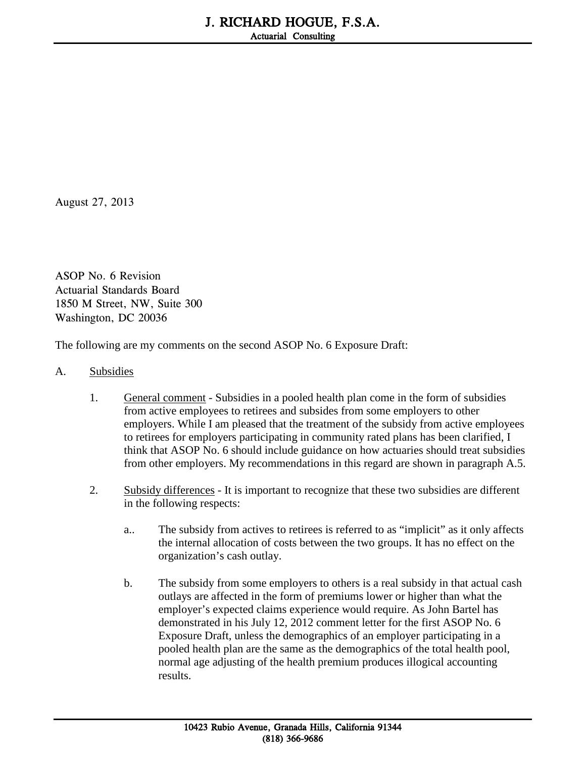August 27, 2013

ASOP No. 6 Revision Actuarial Standards Board 1850 M Street, NW, Suite 300 Washington, DC 20036

The following are my comments on the second ASOP No. 6 Exposure Draft:

## A. Subsidies

- 1. General comment Subsidies in a pooled health plan come in the form of subsidies from active employees to retirees and subsides from some employers to other employers. While I am pleased that the treatment of the subsidy from active employees to retirees for employers participating in community rated plans has been clarified, I think that ASOP No. 6 should include guidance on how actuaries should treat subsidies from other employers. My recommendations in this regard are shown in paragraph A.5.
- 2. Subsidy differences It is important to recognize that these two subsidies are different in the following respects:
	- a.. The subsidy from actives to retirees is referred to as "implicit" as it only affects the internal allocation of costs between the two groups. It has no effect on the organization's cash outlay.
	- b. The subsidy from some employers to others is a real subsidy in that actual cash outlays are affected in the form of premiums lower or higher than what the employer's expected claims experience would require. As John Bartel has demonstrated in his July 12, 2012 comment letter for the first ASOP No. 6 Exposure Draft, unless the demographics of an employer participating in a pooled health plan are the same as the demographics of the total health pool, normal age adjusting of the health premium produces illogical accounting results.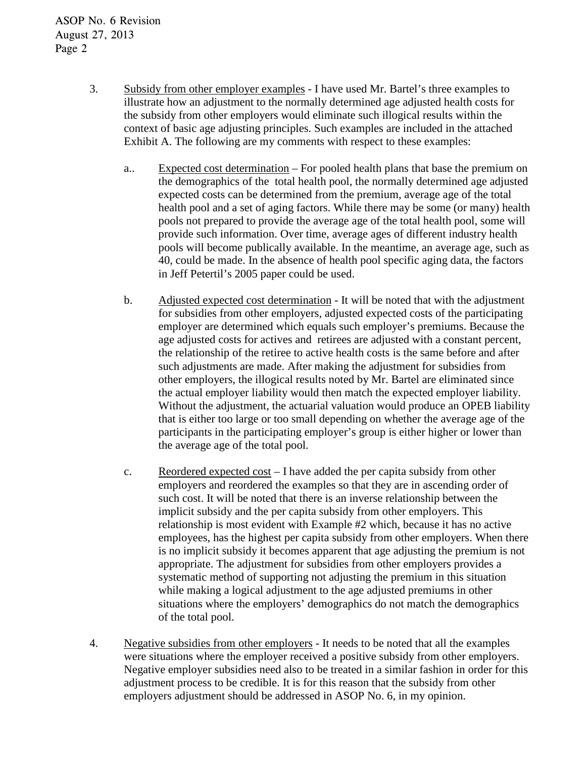- 3. Subsidy from other employer examples I have used Mr. Bartel's three examples to illustrate how an adjustment to the normally determined age adjusted health costs for the subsidy from other employers would eliminate such illogical results within the context of basic age adjusting principles. Such examples are included in the attached Exhibit A. The following are my comments with respect to these examples:
	- a.. Expected cost determination For pooled health plans that base the premium on the demographics of the total health pool, the normally determined age adjusted expected costs can be determined from the premium, average age of the total health pool and a set of aging factors. While there may be some (or many) health pools not prepared to provide the average age of the total health pool, some will provide such information. Over time, average ages of different industry health pools will become publically available. In the meantime, an average age, such as 40, could be made. In the absence of health pool specific aging data, the factors in Jeff Petertil's 2005 paper could be used.
	- b. Adjusted expected cost determination It will be noted that with the adjustment for subsidies from other employers, adjusted expected costs of the participating employer are determined which equals such employer's premiums. Because the age adjusted costs for actives and retirees are adjusted with a constant percent, the relationship of the retiree to active health costs is the same before and after such adjustments are made. After making the adjustment for subsidies from other employers, the illogical results noted by Mr. Bartel are eliminated since the actual employer liability would then match the expected employer liability. Without the adjustment, the actuarial valuation would produce an OPEB liability that is either too large or too small depending on whether the average age of the participants in the participating employer's group is either higher or lower than the average age of the total pool.
	- c. Reordered expected cost I have added the per capita subsidy from other employers and reordered the examples so that they are in ascending order of such cost. It will be noted that there is an inverse relationship between the implicit subsidy and the per capita subsidy from other employers. This relationship is most evident with Example #2 which, because it has no active employees, has the highest per capita subsidy from other employers. When there is no implicit subsidy it becomes apparent that age adjusting the premium is not appropriate. The adjustment for subsidies from other employers provides a systematic method of supporting not adjusting the premium in this situation while making a logical adjustment to the age adjusted premiums in other situations where the employers' demographics do not match the demographics of the total pool.
- 4. Negative subsidies from other employers It needs to be noted that all the examples were situations where the employer received a positive subsidy from other employers. Negative employer subsidies need also to be treated in a similar fashion in order for this adjustment process to be credible. It is for this reason that the subsidy from other employers adjustment should be addressed in ASOP No. 6, in my opinion.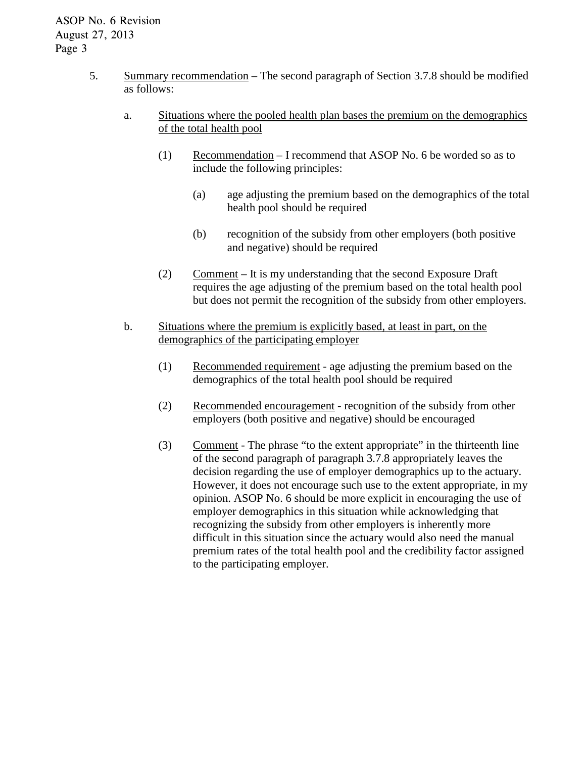## ASOP No. 6 Revision August 27, 2013 Page 3

- 5. Summary recommendation The second paragraph of Section 3.7.8 should be modified as follows:
	- a. Situations where the pooled health plan bases the premium on the demographics of the total health pool
		- (1) Recommendation I recommend that ASOP No. 6 be worded so as to include the following principles:
			- (a) age adjusting the premium based on the demographics of the total health pool should be required
			- (b) recognition of the subsidy from other employers (both positive and negative) should be required
		- (2) Comment It is my understanding that the second Exposure Draft requires the age adjusting of the premium based on the total health pool but does not permit the recognition of the subsidy from other employers.
	- b. Situations where the premium is explicitly based, at least in part, on the demographics of the participating employer
		- (1) Recommended requirement age adjusting the premium based on the demographics of the total health pool should be required
		- (2) Recommended encouragement recognition of the subsidy from other employers (both positive and negative) should be encouraged
		- (3) Comment The phrase "to the extent appropriate" in the thirteenth line of the second paragraph of paragraph 3.7.8 appropriately leaves the decision regarding the use of employer demographics up to the actuary. However, it does not encourage such use to the extent appropriate, in my opinion. ASOP No. 6 should be more explicit in encouraging the use of employer demographics in this situation while acknowledging that recognizing the subsidy from other employers is inherently more difficult in this situation since the actuary would also need the manual premium rates of the total health pool and the credibility factor assigned to the participating employer.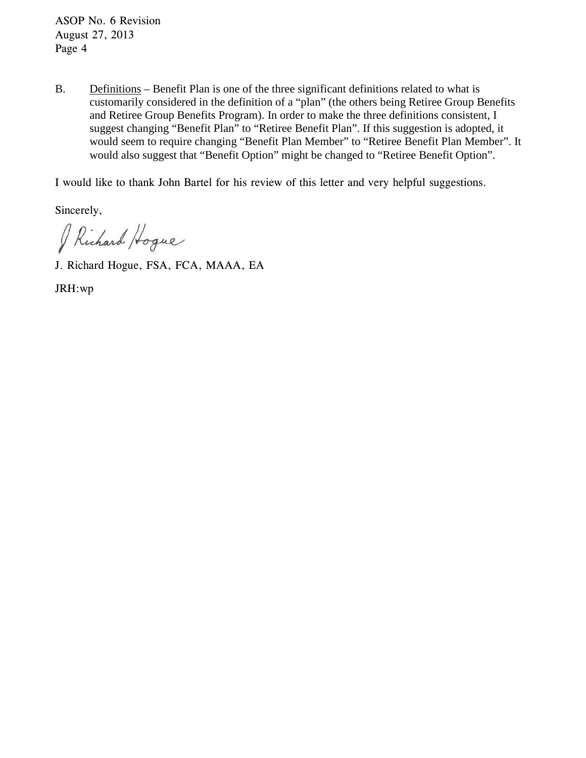ASOP No. 6 Revision August 27, 2013 Page 4

B. Definitions – Benefit Plan is one of the three significant definitions related to what is customarily considered in the definition of a "plan" (the others being Retiree Group Benefits and Retiree Group Benefits Program). In order to make the three definitions consistent, I suggest changing "Benefit Plan" to "Retiree Benefit Plan". If this suggestion is adopted, it would seem to require changing "Benefit Plan Member" to "Retiree Benefit Plan Member". It would also suggest that "Benefit Option" might be changed to "Retiree Benefit Option".

I would like to thank John Bartel for his review of this letter and very helpful suggestions.

Sincerely,

Richard Hoque

J. Richard Hogue, FSA, FCA, MAAA, EA

JRH:wp